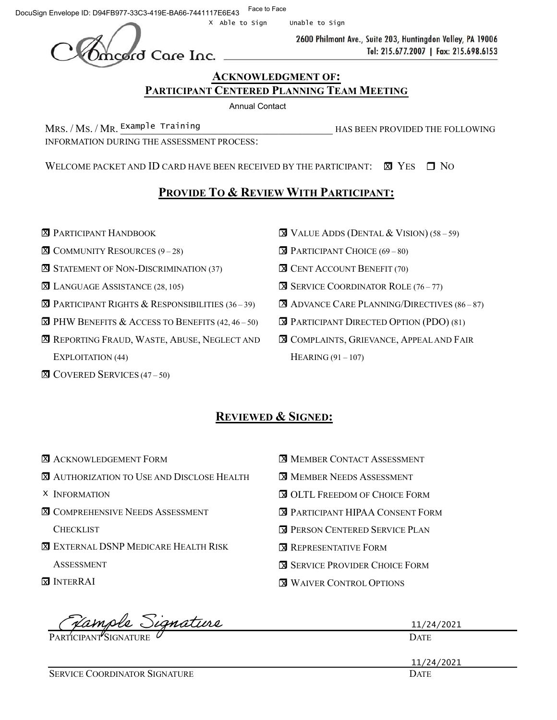DocuSign Envelope ID: D94FB977-33C3-419E-BA66-7441117E6E43 Face to Face

Unable to Sign

2600 Philmont Ave., Suite 203, Huntingdon Valley, PA 19006 Tel: 215.677.2007 | Fax: 215.698.6153

### ACKNOWLEDGMENT OF: PARTICIPANT CENTERED PLANNING TEAM MEETING

Annual Contact

MRS. / Ms. / MR. Example Training HAS BEEN PROVIDED THE FOLLOWING INFORMATION DURING THE ASSESSMENT PROCESS:

WELCOME PACKET AND ID CARD HAVE BEEN RECEIVED BY THE PARTICIPANT:  $\boxtimes$  Yes  $\Box$  No

## PROVIDE TO & REVIEW WITH PARTICIPANT:

- **X** PARTICIPANT HANDBOOK
- **X** COMMUNITY RESOURCES (9-28)
- **X** STATEMENT OF NON-DISCRIMINATION (37)
- **X** LANGUAGE ASSISTANCE (28, 105)
- $\overline{\mathbf{X}}$  Participant Rights & Responsibilities (36–39)
- $\overline{\mathbf{x}}$  PHW BENEFITS & ACCESS TO BENEFITS (42, 46 50)
- **X** REPORTING FRAUD, WASTE, ABUSE, NEGLECT AND EXPLOITATION (44)
- **X** COVERED SERVICES (47 50)
- $\overline{\mathbf{X}}$  Value Adds (Dental & Vision) (58 59)
- **EX** PARTICIPANT CHOICE (69 80)
- **X** CENT ACCOUNT BENEFIT (70)
- **SERVICE COORDINATOR ROLE (76 77)**
- **X** ADVANCE CARE PLANNING/DIRECTIVES (86-87)
- **EX** PARTICIPANT DIRECTED OPTION (PDO) (81)
- **X** COMPLAINTS, GRIEVANCE, APPEAL AND FAIR HEARING  $(91 - 107)$

# REVIEWED & SIGNED:

| <b>X</b> ACKNOWLEDGEMENT FORM                     | <b>X MEMBER CONTACT ASSESSMENT</b>       |
|---------------------------------------------------|------------------------------------------|
| <b>X</b> AUTHORIZATION TO USE AND DISCLOSE HEALTH | <b>N</b> MEMBER NEEDS ASSESSMENT         |
| X INFORMATION                                     | <b>NOLTL FREEDOM OF CHOICE FORM</b>      |
| <b>X COMPREHENSIVE NEEDS ASSESSMENT</b>           | <b>EX PARTICIPANT HIPAA CONSENT FORM</b> |
| <b>CHECKLIST</b>                                  | <b>EX PERSON CENTERED SERVICE PLAN</b>   |
| <b>X</b> EXTERNAL DSNP MEDICARE HEALTH RISK       | <b>EX REPRESENTATIVE FORM</b>            |
| <b>ASSESSMENT</b>                                 | <b>EX</b> SERVICE PROVIDER CHOICE FORM   |
| <b>EX INTERRAI</b>                                | <b>N</b> WAIVER CONTROL OPTIONS          |

| Vample Signature                     | 11/24/2021  |
|--------------------------------------|-------------|
| PARTICIPANT SIGNATURE U              | <b>DATE</b> |
|                                      | 11/24/2021  |
| <b>SERVICE COORDINATOR SIGNATURE</b> | <b>DATE</b> |

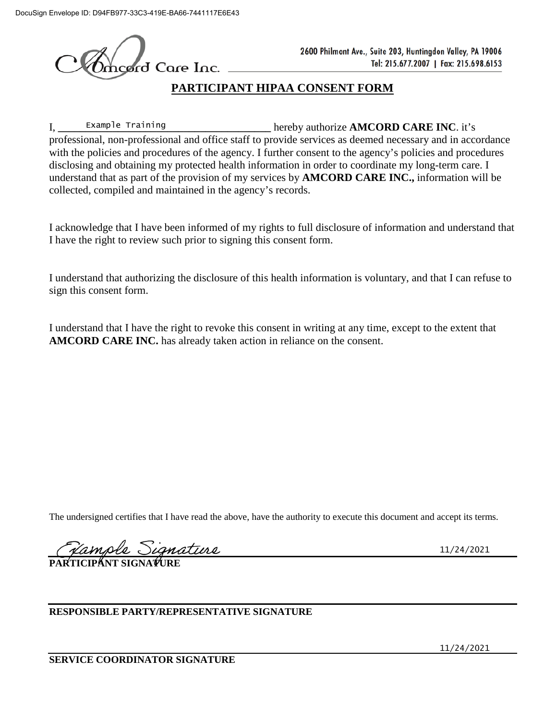*erd* Care Inc.

# **PARTICIPANT HIPAA CONSENT FORM**

I, Example Training **Example Training Example Training Example Training Example Training Example 2 EXAMCORD CARE INC.** it's professional, non-professional and office staff to provide services as deemed necessary and in accordance with the policies and procedures of the agency. I further consent to the agency's policies and procedures disclosing and obtaining my protected health information in order to coordinate my long-term care. I understand that as part of the provision of my services by **AMCORD CARE INC.,** information will be collected, compiled and maintained in the agency's records. Example Training

I acknowledge that I have been informed of my rights to full disclosure of information and understand that I have the right to review such prior to signing this consent form.

I understand that authorizing the disclosure of this health information is voluntary, and that I can refuse to sign this consent form.

I understand that I have the right to revoke this consent in writing at any time, except to the extent that **AMCORD CARE INC.** has already taken action in reliance on the consent.

The undersigned certifies that I have read the above, have the authority to execute this document and accept its terms.

*<u> Vample Signature</u>*<br>RIICIPANT SIGNATURE

11/24/2021

**RESPONSIBLE PARTY/REPRESENTATIVE SIGNATURE**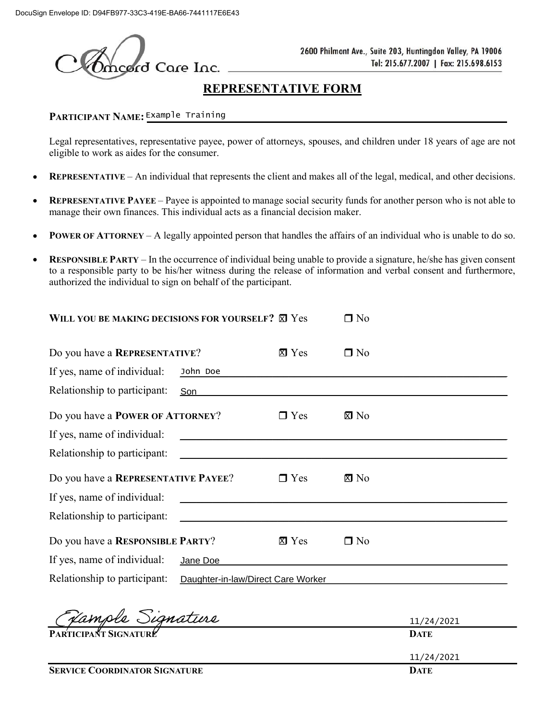ord Care Inc.

2600 Philmont Ave., Suite 203, Huntingdon Valley, PA 19006 Tel: 215.677.2007 | Fax: 215.698.6153

# REPRESENTATIVE FORM

## PARTICIPANT NAME: Example Training **Example 1999**

Legal representatives, representative payee, power of attorneys, spouses, and children under 18 years of age are not eligible to work as aides for the consumer.

- REPRESENTATIVE An individual that represents the client and makes all of the legal, medical, and other decisions.  $\bullet$
- REPRESENTATIVE PAYEE Payee is appointed to manage social security funds for another person who is not able to  $\bullet$ manage their own finances. This individual acts as a financial decision maker.
- POWER OF ATTORNEY A legally appointed person that handles the affairs of an individual who is unable to do so.  $\bullet$
- RESPONSIBLE PARTY In the occurrence of individual being unable to provide a signature, he/she has given consent  $\bullet$ to a responsible party to be his/her witness during the release of information and verbal consent and furthermore, authorized the individual to sign on behalf of the participant.

| WILL YOU BE MAKING DECISIONS FOR YOURSELF? X Yes |                                    |              | $\Box$ No      |
|--------------------------------------------------|------------------------------------|--------------|----------------|
| Do you have a REPRESENTATIVE?                    |                                    | $\Sigma$ Yes | $\Box$ No      |
| If yes, name of individual:                      | John Doe                           |              |                |
| Relationship to participant:<br>Son              |                                    |              |                |
| Do you have a POWER OF ATTORNEY?                 |                                    | $\Box$ Yes   | $\boxtimes$ No |
| If yes, name of individual:                      |                                    |              |                |
| Relationship to participant:                     |                                    |              |                |
| Do you have a REPRESENTATIVE PAYEE?              |                                    | $\Box$ Yes   | $\boxtimes$ No |
| If yes, name of individual:                      |                                    |              |                |
| Relationship to participant:                     |                                    |              |                |
| Do you have a RESPONSIBLE PARTY?                 |                                    | $\Sigma$ Yes | $\Box$ No      |
| If yes, name of individual:                      | Jane Doe                           |              |                |
| Relationship to participant:                     | Daughter-in-law/Direct Care Worker |              |                |
|                                                  |                                    |              |                |

| <b>SERVICE COORDINATOR SIGNATURE</b> | <b>DATE</b> |
|--------------------------------------|-------------|
|                                      | 11/24/2021  |
| PARTICIPANT SIGNATURE                | <b>DATE</b> |
| Vample Signature                     | 11/24/2021  |